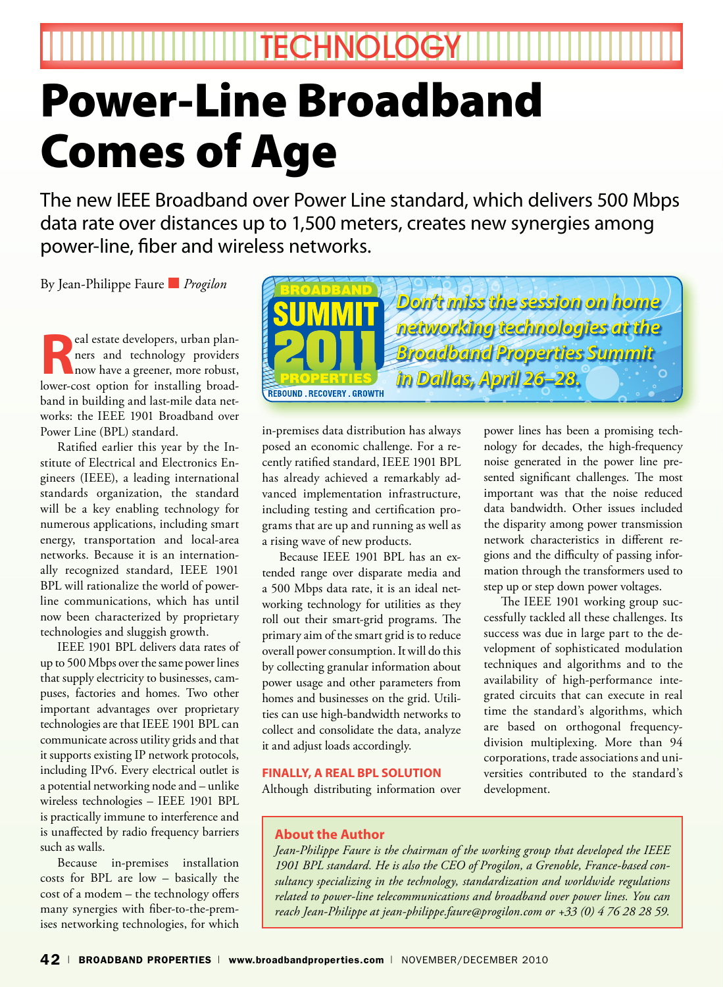**THEFTECHNOLOGYH** 

# Power-Line Broadband Comes of Age

The new IEEE Broadband over Power Line standard, which delivers 500 Mbps data rate over distances up to 1,500 meters, creates new synergies among power-line, fiber and wireless networks.

By Jean-Philippe Faure ■ *Progilon*

**Real estate developers, urban plan-**<br>ners and technology providers<br>now have a greener, more robust, ners and technology providers now have a greener, more robust, lower-cost option for installing broadband in building and last-mile data networks: the IEEE 1901 Broadband over Power Line (BPL) standard.

Ratified earlier this year by the Institute of Electrical and Electronics Engineers (IEEE), a leading international standards organization, the standard will be a key enabling technology for numerous applications, including smart energy, transportation and local-area networks. Because it is an internationally recognized standard, IEEE 1901 BPL will rationalize the world of powerline communications, which has until now been characterized by proprietary technologies and sluggish growth.

IEEE 1901 BPL delivers data rates of up to 500 Mbps over the same power lines that supply electricity to businesses, campuses, factories and homes. Two other important advantages over proprietary technologies are that IEEE 1901 BPL can communicate across utility grids and that it supports existing IP network protocols, including IPv6. Every electrical outlet is a potential networking node and – unlike wireless technologies – IEEE 1901 BPL is practically immune to interference and is unaffected by radio frequency barriers such as walls.

Because in-premises installation costs for BPL are low – basically the cost of a modem – the technology offers many synergies with fiber-to-the-premises networking technologies, for which



in-premises data distribution has always posed an economic challenge. For a recently ratified standard, IEEE 1901 BPL has already achieved a remarkably advanced implementation infrastructure, including testing and certification programs that are up and running as well as a rising wave of new products.

Because IEEE 1901 BPL has an extended range over disparate media and a 500 Mbps data rate, it is an ideal networking technology for utilities as they roll out their smart-grid programs. The primary aim of the smart grid is to reduce overall power consumption. It will do this by collecting granular information about power usage and other parameters from homes and businesses on the grid. Utilities can use high-bandwidth networks to collect and consolidate the data, analyze it and adjust loads accordingly.

#### **Finally, a Real BPL Solution**

Although distributing information over

power lines has been a promising technology for decades, the high-frequency noise generated in the power line presented significant challenges. The most important was that the noise reduced data bandwidth. Other issues included the disparity among power transmission network characteristics in different regions and the difficulty of passing information through the transformers used to step up or step down power voltages.

The IEEE 1901 working group successfully tackled all these challenges. Its success was due in large part to the development of sophisticated modulation techniques and algorithms and to the availability of high-performance integrated circuits that can execute in real time the standard's algorithms, which are based on orthogonal frequencydivision multiplexing. More than 94 corporations, trade associations and universities contributed to the standard's development.

### **About the Author**

*Jean-Philippe Faure is the chairman of the working group that developed the IEEE 1901 BPL standard. He is also the CEO of Progilon, a Grenoble, France-based consultancy specializing in the technology, standardization and worldwide regulations related to power-line telecommunications and broadband over power lines. You can reach Jean-Philippe at jean-philippe.faure@progilon.com or +33 (0) 4 76 28 28 59.*